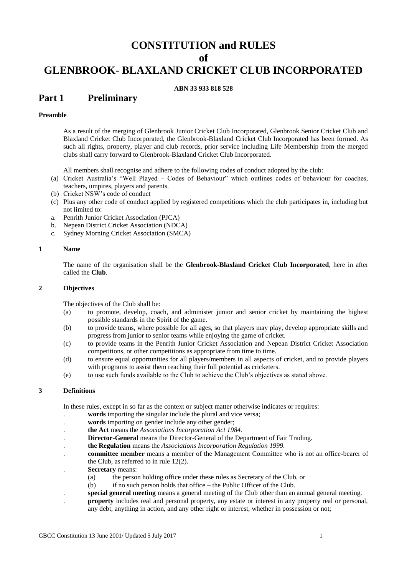## **CONSTITUTION and RULES**

## **of**

# **GLENBROOK- BLAXLAND CRICKET CLUB INCORPORATED**

### **ABN 33 933 818 528**

## **Part 1 Preliminary**

### **Preamble**

As a result of the merging of Glenbrook Junior Cricket Club Incorporated, Glenbrook Senior Cricket Club and Blaxland Cricket Club Incorporated, the Glenbrook-Blaxland Cricket Club Incorporated has been formed. As such all rights, property, player and club records, prior service including Life Membership from the merged clubs shall carry forward to Glenbrook-Blaxland Cricket Club Incorporated.

All members shall recognise and adhere to the following codes of conduct adopted by the club:

- (a) Cricket Australia's "Well Played Codes of Behaviour" which outlines codes of behaviour for coaches, teachers, umpires, players and parents.
- (b) Cricket NSW's code of conduct
- (c) Plus any other code of conduct applied by registered competitions which the club participates in, including but not limited to:
- a. Penrith Junior Cricket Association (PJCA)
- b. Nepean District Cricket Association (NDCA)
- c. Sydney Morning Cricket Association (SMCA)

### **1 Name**

The name of the organisation shall be the **Glenbrook-Blaxland Cricket Club Incorporated**, here in after called the **Club**.

### **2 Objectives**

The objectives of the Club shall be:

- (a) to promote, develop, coach, and administer junior and senior cricket by maintaining the highest possible standards in the Spirit of the game.
- (b) to provide teams, where possible for all ages, so that players may play, develop appropriate skills and progress from junior to senior teams while enjoying the game of cricket.
- (c) to provide teams in the Penrith Junior Cricket Association and Nepean District Cricket Association competitions, or other competitions as appropriate from time to time.
- (d) to ensure equal opportunities for all players/members in all aspects of cricket, and to provide players with programs to assist them reaching their full potential as cricketers.
- (e) to use such funds available to the Club to achieve the Club's objectives as stated above.

### **3 Definitions**

In these rules, except in so far as the context or subject matter otherwise indicates or requires:

- . **words** importing the singular include the plural and vice versa;
- words importing on gender include any other gender;
- . **the Act** means the *Associations Incorporation Act 1984.*
- . **Director-General** means the Director-General of the Department of Fair Trading.
- . **the Regulation** means the *Associations Incorporation Regulation 1999.*
- . **committee member** means a member of the Management Committee who is not an office-bearer of the Club, as referred to in rule 12(2).
- . **Secretary** means:
	- (a) the person holding office under these rules as Secretary of the Club, or
	- (b) if no such person holds that office the Public Officer of the Club.
- . **special general meeting** means a general meeting of the Club other than an annual general meeting.
- . **property** includes real and personal property, any estate or interest in any property real or personal, any debt, anything in action, and any other right or interest, whether in possession or not;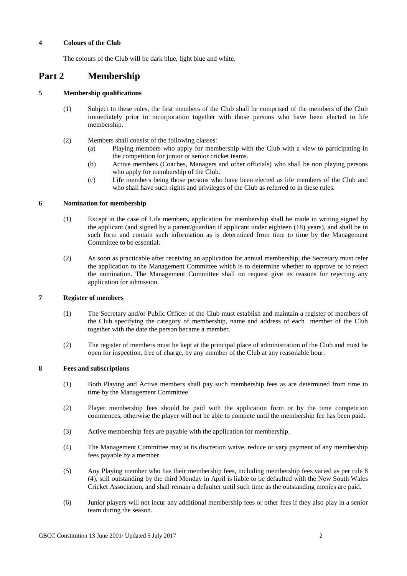### **4 Colours of the Club**

The colours of the Club will be dark blue, light blue and white.

## **Part 2 Membership**

### **5 Membership qualifications**

- (1) Subject to these rules, the first members of the Club shall be comprised of the members of the Club immediately prior to incorporation together with those persons who have been elected to life membership.
- (2) Members shall consist of the following classes:
	- (a) Playing members who apply for membership with the Club with a view to participating in the competition for junior or senior cricket teams.
	- (b) Active members (Coaches, Managers and other officials) who shall be non playing persons who apply for membership of the Club.
	- (c) Life members being those persons who have been elected as life members of the Club and who shall have such rights and privileges of the Club as referred to in these rules.

### **6 Nomination for membership**

- (1) Except in the case of Life members, application for membership shall be made in writing signed by the applicant (and signed by a parent/guardian if applicant under eighteen (18) years), and shall be in such form and contain such information as is determined from time to time by the Management Committee to be essential.
- (2) As soon as practicable after receiving an application for annual membership, the Secretary must refer the application to the Management Committee which is to determine whether to approve or to reject the nomination. The Management Committee shall on request give its reasons for rejecting any application for admission.

### **7 Register of members**

- (1) The Secretary and/or Public Officer of the Club must establish and maintain a register of members of the Club specifying the category of membership, name and address of each member of the Club together with the date the person became a member.
- (2) The register of members must be kept at the principal place of administration of the Club and must be open for inspection, free of charge, by any member of the Club at any reasonable hour.

### **8 Fees and subscriptions**

- (1) Both Playing and Active members shall pay such membership fees as are determined from time to time by the Management Committee.
- (2) Player membership fees should be paid with the application form or by the time competition commences, otherwise the player will not be able to compete until the membership fee has been paid.
- (3) Active membership fees are payable with the application for membership.
- (4) The Management Committee may at its discretion waive, reduce or vary payment of any membership fees payable by a member.
- (5) Any Playing member who has their membership fees, including membership fees varied as per rule 8 (4), still outstanding by the third Monday in April is liable to be defaulted with the New South Wales Cricket Association, and shall remain a defaulter until such time as the outstanding monies are paid.
- (6) Junior players will not incur any additional membership fees or other fees if they also play in a senior team during the season.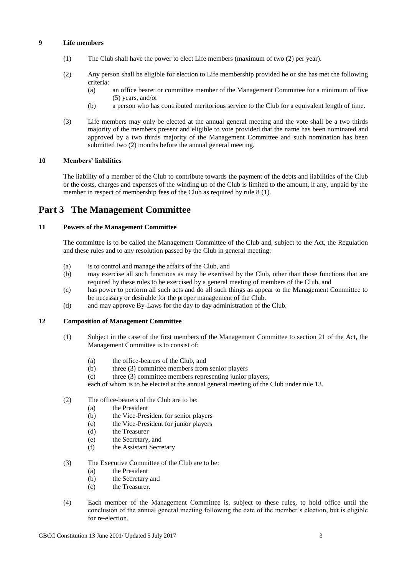### **9 Life members**

- (1) The Club shall have the power to elect Life members (maximum of two (2) per year).
- (2) Any person shall be eligible for election to Life membership provided he or she has met the following criteria:
	- (a) an office bearer or committee member of the Management Committee for a minimum of five (5) years, and/or
	- (b) a person who has contributed meritorious service to the Club for a equivalent length of time.
- (3) Life members may only be elected at the annual general meeting and the vote shall be a two thirds majority of the members present and eligible to vote provided that the name has been nominated and approved by a two thirds majority of the Management Committee and such nomination has been submitted two (2) months before the annual general meeting.

### **10 Members' liabilities**

The liability of a member of the Club to contribute towards the payment of the debts and liabilities of the Club or the costs, charges and expenses of the winding up of the Club is limited to the amount, if any, unpaid by the member in respect of membership fees of the Club as required by rule 8 (1).

## **Part 3 The Management Committee**

### **11 Powers of the Management Committee**

The committee is to be called the Management Committee of the Club and, subject to the Act, the Regulation and these rules and to any resolution passed by the Club in general meeting:

- (a) is to control and manage the affairs of the Club, and
- (b) may exercise all such functions as may be exercised by the Club, other than those functions that are required by these rules to be exercised by a general meeting of members of the Club, and
- (c) has power to perform all such acts and do all such things as appear to the Management Committee to be necessary or desirable for the proper management of the Club.
- (d) and may approve By-Laws for the day to day administration of the Club.

### **12 Composition of Management Committee**

- (1) Subject in the case of the first members of the Management Committee to section 21 of the Act, the Management Committee is to consist of:
	- (a) the office-bearers of the Club, and
	- (b) three (3) committee members from senior players
	- (c) three (3) committee members representing junior players,

each of whom is to be elected at the annual general meeting of the Club under rule 13.

- (2) The office-bearers of the Club are to be:
	- (a) the President
	- (b) the Vice-President for senior players
	- (c) the Vice-President for junior players
	- (d) the Treasurer
	- (e) the Secretary, and
	- (f) the Assistant Secretary
- (3) The Executive Committee of the Club are to be:
	- (a) the President
	- (b) the Secretary and
	- (c) the Treasurer.
- (4) Each member of the Management Committee is, subject to these rules, to hold office until the conclusion of the annual general meeting following the date of the member's election, but is eligible for re-election.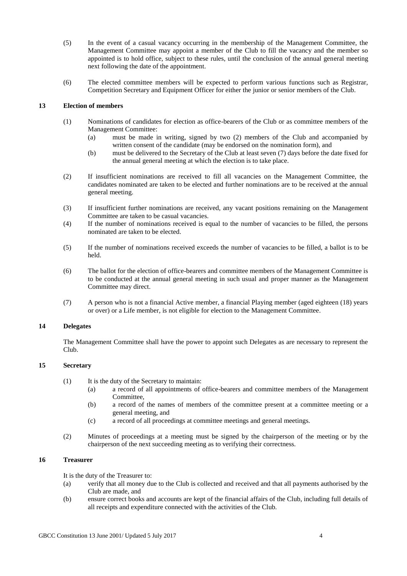- (5) In the event of a casual vacancy occurring in the membership of the Management Committee, the Management Committee may appoint a member of the Club to fill the vacancy and the member so appointed is to hold office, subject to these rules, until the conclusion of the annual general meeting next following the date of the appointment.
- (6) The elected committee members will be expected to perform various functions such as Registrar, Competition Secretary and Equipment Officer for either the junior or senior members of the Club.

### **13 Election of members**

- (1) Nominations of candidates for election as office-bearers of the Club or as committee members of the Management Committee:
	- (a) must be made in writing, signed by two (2) members of the Club and accompanied by written consent of the candidate (may be endorsed on the nomination form), and
	- (b) must be delivered to the Secretary of the Club at least seven (7) days before the date fixed for the annual general meeting at which the election is to take place.
- (2) If insufficient nominations are received to fill all vacancies on the Management Committee, the candidates nominated are taken to be elected and further nominations are to be received at the annual general meeting.
- (3) If insufficient further nominations are received, any vacant positions remaining on the Management Committee are taken to be casual vacancies.
- (4) If the number of nominations received is equal to the number of vacancies to be filled, the persons nominated are taken to be elected.
- (5) If the number of nominations received exceeds the number of vacancies to be filled, a ballot is to be held.
- (6) The ballot for the election of office-bearers and committee members of the Management Committee is to be conducted at the annual general meeting in such usual and proper manner as the Management Committee may direct.
- (7) A person who is not a financial Active member, a financial Playing member (aged eighteen (18) years or over) or a Life member, is not eligible for election to the Management Committee*.*

## **14 Delegates**

The Management Committee shall have the power to appoint such Delegates as are necessary to represent the Club.

### **15 Secretary**

- (1) It is the duty of the Secretary to maintain:
	- (a) a record of all appointments of office-bearers and committee members of the Management Committee,
	- (b) a record of the names of members of the committee present at a committee meeting or a general meeting, and
	- (c) a record of all proceedings at committee meetings and general meetings.
- (2) Minutes of proceedings at a meeting must be signed by the chairperson of the meeting or by the chairperson of the next succeeding meeting as to verifying their correctness.

## **16 Treasurer**

It is the duty of the Treasurer to:

- (a) verify that all money due to the Club is collected and received and that all payments authorised by the Club are made, and
- (b) ensure correct books and accounts are kept of the financial affairs of the Club, including full details of all receipts and expenditure connected with the activities of the Club.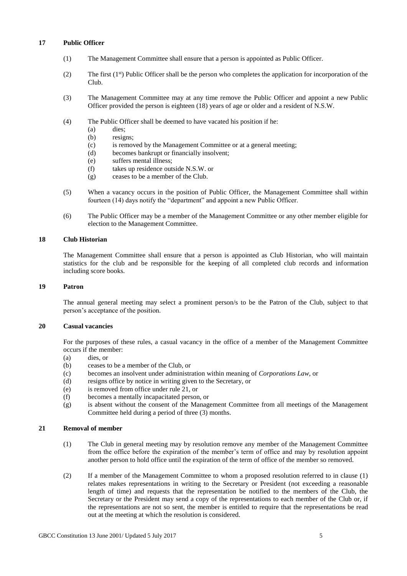### **17 Public Officer**

- (1) The Management Committee shall ensure that a person is appointed as Public Officer.
- (2) The first  $(1<sup>st</sup>)$  Public Officer shall be the person who completes the application for incorporation of the Club.
- (3) The Management Committee may at any time remove the Public Officer and appoint a new Public Officer provided the person is eighteen (18) years of age or older and a resident of N.S.W.
- (4) The Public Officer shall be deemed to have vacated his position if he:
	- (a) dies;
	- (b) resigns;
	- (c) is removed by the Management Committee or at a general meeting;
	- (d) becomes bankrupt or financially insolvent;
	- (e) suffers mental illness;
	- (f) takes up residence outside N.S.W. or
	- (g) ceases to be a member of the Club.
- (5) When a vacancy occurs in the position of Public Officer, the Management Committee shall within fourteen (14) days notify the "department" and appoint a new Public Officer.
- (6) The Public Officer may be a member of the Management Committee or any other member eligible for election to the Management Committee.

### **18 Club Historian**

The Management Committee shall ensure that a person is appointed as Club Historian, who will maintain statistics for the club and be responsible for the keeping of all completed club records and information including score books.

#### **19 Patron**

The annual general meeting may select a prominent person/s to be the Patron of the Club, subject to that person's acceptance of the position.

## **20 Casual vacancies**

For the purposes of these rules, a casual vacancy in the office of a member of the Management Committee occurs if the member:

- (a) dies, or
- (b) ceases to be a member of the Club, or
- (c) becomes an insolvent under administration within meaning of *Corporations Law*, or
- (d) resigns office by notice in writing given to the Secretary, or
- (e) is removed from office under rule 21, or
- (f) becomes a mentally incapacitated person, or
- (g) is absent without the consent of the Management Committee from all meetings of the Management Committee held during a period of three (3) months.

### **21 Removal of member**

- (1) The Club in general meeting may by resolution remove any member of the Management Committee from the office before the expiration of the member's term of office and may by resolution appoint another person to hold office until the expiration of the term of office of the member so removed.
- (2) If a member of the Management Committee to whom a proposed resolution referred to in clause (1) relates makes representations in writing to the Secretary or President (not exceeding a reasonable length of time) and requests that the representation be notified to the members of the Club, the Secretary or the President may send a copy of the representations to each member of the Club or, if the representations are not so sent, the member is entitled to require that the representations be read out at the meeting at which the resolution is considered.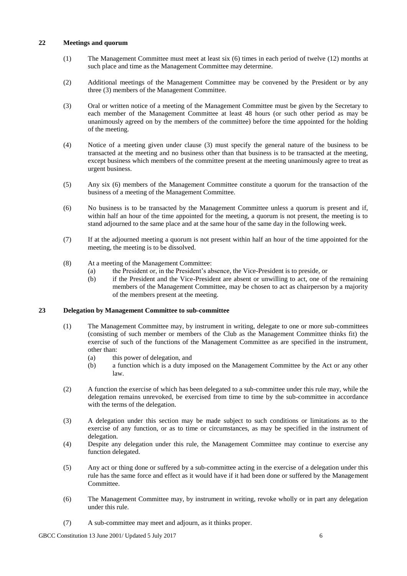### **22 Meetings and quorum**

- (1) The Management Committee must meet at least six (6) times in each period of twelve (12) months at such place and time as the Management Committee may determine.
- (2) Additional meetings of the Management Committee may be convened by the President or by any three (3) members of the Management Committee.
- (3) Oral or written notice of a meeting of the Management Committee must be given by the Secretary to each member of the Management Committee at least 48 hours (or such other period as may be unanimously agreed on by the members of the committee) before the time appointed for the holding of the meeting.
- (4) Notice of a meeting given under clause (3) must specify the general nature of the business to be transacted at the meeting and no business other than that business is to be transacted at the meeting, except business which members of the committee present at the meeting unanimously agree to treat as urgent business.
- (5) Any six (6) members of the Management Committee constitute a quorum for the transaction of the business of a meeting of the Management Committee.
- (6) No business is to be transacted by the Management Committee unless a quorum is present and if, within half an hour of the time appointed for the meeting, a quorum is not present, the meeting is to stand adjourned to the same place and at the same hour of the same day in the following week.
- (7) If at the adjourned meeting a quorum is not present within half an hour of the time appointed for the meeting, the meeting is to be dissolved.
- (8) At a meeting of the Management Committee:
	- (a) the President or, in the President's absence, the Vice-President is to preside, or
	- (b) if the President and the Vice-President are absent or unwilling to act, one of the remaining members of the Management Committee, may be chosen to act as chairperson by a majority of the members present at the meeting.

### **23 Delegation by Management Committee to sub-committee**

- (1) The Management Committee may, by instrument in writing, delegate to one or more sub-committees (consisting of such member or members of the Club as the Management Committee thinks fit) the exercise of such of the functions of the Management Committee as are specified in the instrument, other than:
	- (a) this power of delegation, and
	- (b) a function which is a duty imposed on the Management Committee by the Act or any other law.
- (2) A function the exercise of which has been delegated to a sub-committee under this rule may, while the delegation remains unrevoked, be exercised from time to time by the sub-committee in accordance with the terms of the delegation.
- (3) A delegation under this section may be made subject to such conditions or limitations as to the exercise of any function, or as to time or circumstances, as may be specified in the instrument of delegation.
- (4) Despite any delegation under this rule, the Management Committee may continue to exercise any function delegated.
- (5) Any act or thing done or suffered by a sub-committee acting in the exercise of a delegation under this rule has the same force and effect as it would have if it had been done or suffered by the Management Committee.
- (6) The Management Committee may, by instrument in writing, revoke wholly or in part any delegation under this rule.
- (7) A sub-committee may meet and adjourn, as it thinks proper.

GBCC Constitution 13 June 2001/ Updated 5 July 2017 6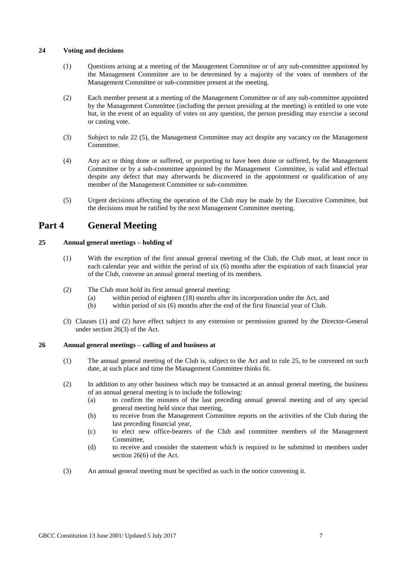## **24 Voting and decisions**

- (1) Questions arising at a meeting of the Management Committee or of any sub-committee appointed by the Management Committee are to be determined by a majority of the votes of members of the Management Committee or sub-committee present at the meeting.
- (2) Each member present at a meeting of the Management Committee or of any sub-committee appointed by the Management Committee (including the person presiding at the meeting) is entitled to one vote but, in the event of an equality of votes on any question, the person presiding may exercise a second or casting vote.
- (3) Subject to rule 22 (5), the Management Committee may act despite any vacancy on the Management Committee.
- (4) Any act or thing done or suffered, or purporting to have been done or suffered, by the Management Committee or by a sub-committee appointed by the Management Committee, is valid and effectual despite any defect that may afterwards be discovered in the appointment or qualification of any member of the Management Committee or sub-committee.
- (5) Urgent decisions affecting the operation of the Club may be made by the Executive Committee, but the decisions must be ratified by the next Management Committee meeting.

## **Part 4 General Meeting**

## **25 Annual general meetings – holding of**

- (1) With the exception of the first annual general meeting of the Club, the Club must, at least once in each calendar year and within the period of six (6) months after the expiration of each financial year of the Club, convene an annual general meeting of its members.
- (2) The Club must hold its first annual general meeting:
	- (a) within period of eighteen (18) months after its incorporation under the Act, and
	- (b) within period of six (6) months after the end of the first financial year of Club.
- (3) Clauses (1) and (2) have effect subject to any extension or permission granted by the Director-General under section 26(3) of the Act.

### **26 Annual general meetings – calling of and business at**

- (1) The annual general meeting of the Club is, subject to the Act and to rule 25, to be convened on such date, at such place and time the Management Committee thinks fit.
- (2) In addition to any other business which may be transacted at an annual general meeting, the business of an annual general meeting is to include the following:
	- (a) to confirm the minutes of the last preceding annual general meeting and of any special general meeting held since that meeting,
	- (b) to receive from the Management Committee reports on the activities of the Club during the last preceding financial year,
	- (c) to elect new office-bearers of the Club and committee members of the Management Committee,
	- (d) to receive and consider the statement which is required to be submitted to members under section 26(6) of the Act.
- (3) An annual general meeting must be specified as such in the notice convening it.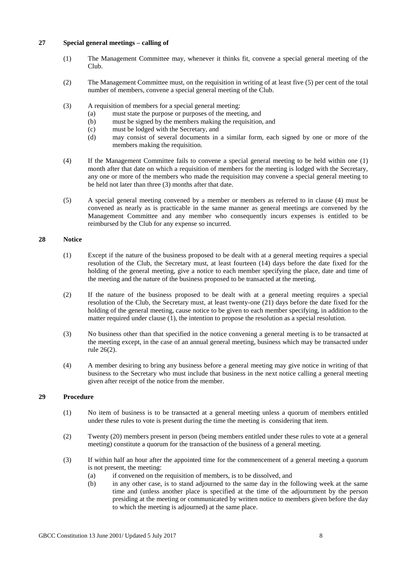### **27 Special general meetings – calling of**

- (1) The Management Committee may, whenever it thinks fit, convene a special general meeting of the Club.
- (2) The Management Committee must, on the requisition in writing of at least five (5) per cent of the total number of members, convene a special general meeting of the Club.
- (3) A requisition of members for a special general meeting:
	- (a) must state the purpose or purposes of the meeting, and
	- (b) must be signed by the members making the requisition, and
	- (c) must be lodged with the Secretary, and
	- (d) may consist of several documents in a similar form, each signed by one or more of the members making the requisition.
- (4) If the Management Committee fails to convene a special general meeting to be held within one (1) month after that date on which a requisition of members for the meeting is lodged with the Secretary, any one or more of the members who made the requisition may convene a special general meeting to be held not later than three (3) months after that date.
- (5) A special general meeting convened by a member or members as referred to in clause (4) must be convened as nearly as is practicable in the same manner as general meetings are convened by the Management Committee and any member who consequently incurs expenses is entitled to be reimbursed by the Club for any expense so incurred.

### **28 Notice**

- (1) Except if the nature of the business proposed to be dealt with at a general meeting requires a special resolution of the Club, the Secretary must, at least fourteen (14) days before the date fixed for the holding of the general meeting, give a notice to each member specifying the place, date and time of the meeting and the nature of the business proposed to be transacted at the meeting.
- (2) If the nature of the business proposed to be dealt with at a general meeting requires a special resolution of the Club, the Secretary must, at least twenty-one (21) days before the date fixed for the holding of the general meeting, cause notice to be given to each member specifying, in addition to the matter required under clause (1), the intention to propose the resolution as a special resolution.
- (3) No business other than that specified in the notice convening a general meeting is to be transacted at the meeting except, in the case of an annual general meeting, business which may be transacted under rule 26(2).
- (4) A member desiring to bring any business before a general meeting may give notice in writing of that business to the Secretary who must include that business in the next notice calling a general meeting given after receipt of the notice from the member.

### **29 Procedure**

- (1) No item of business is to be transacted at a general meeting unless a quorum of members entitled under these rules to vote is present during the time the meeting is considering that item.
- (2) Twenty (20) members present in person (being members entitled under these rules to vote at a general meeting) constitute a quorum for the transaction of the business of a general meeting.
- (3) If within half an hour after the appointed time for the commencement of a general meeting a quorum is not present, the meeting:
	- (a) if convened on the requisition of members, is to be dissolved, and
	- (b) in any other case, is to stand adjourned to the same day in the following week at the same time and (unless another place is specified at the time of the adjournment by the person presiding at the meeting or communicated by written notice to members given before the day to which the meeting is adjourned) at the same place.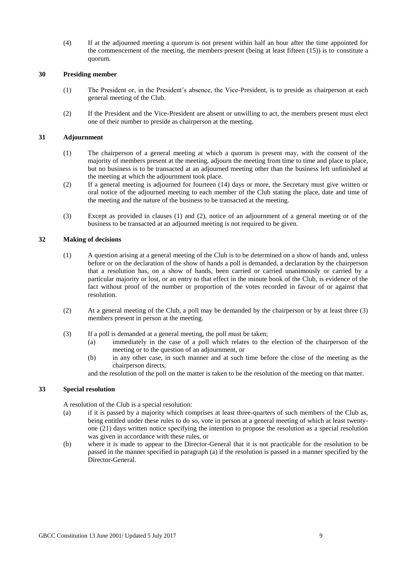(4) If at the adjourned meeting a quorum is not present within half an hour after the time appointed for the commencement of the meeting, the members present (being at least fifteen (15)) is to constitute a quorum.

## **30 Presiding member**

- (1) The President or, in the President's absence, the Vice-President, is to preside as chairperson at each general meeting of the Club.
- (2) If the President and the Vice-President are absent or unwilling to act, the members present must elect one of their number to preside as chairperson at the meeting.

### **31 Adjournment**

- (1) The chairperson of a general meeting at which a quorum is present may, with the consent of the majority of members present at the meeting, adjourn the meeting from time to time and place to place, but no business is to be transacted at an adjourned meeting other than the business left unfinished at the meeting at which the adjournment took place.
- (2) If a general meeting is adjourned for fourteen (14) days or more, the Secretary must give written or oral notice of the adjourned meeting to each member of the Club stating the place, date and time of the meeting and the nature of the business to be transacted at the meeting.
- (3) Except as provided in clauses (1) and (2), notice of an adjournment of a general meeting or of the business to be transacted at an adjourned meeting is not required to be given.

### **32 Making of decisions**

- (1) A question arising at a general meeting of the Club is to be determined on a show of hands and, unless before or on the declaration of the show of hands a poll is demanded, a declaration by the chairperson that a resolution has, on a show of hands, been carried or carried unanimously or carried by a particular majority or lost, or an entry to that effect in the minute book of the Club, is evidence of the fact without proof of the number or proportion of the votes recorded in favour of or against that resolution.
- (2) At a general meeting of the Club, a poll may be demanded by the chairperson or by at least three (3) members present in person at the meeting.
- (3) If a poll is demanded at a general meeting, the poll must be taken;
	- (a) immediately in the case of a poll which relates to the election of the chairperson of the meeting or to the question of an adjournment, or
	- (b) in any other case, in such manner and at such time before the close of the meeting as the chairperson directs,

and the resolution of the poll on the matter is taken to be the resolution of the meeting on that matter.

## **33 Special resolution**

A resolution of the Club is a special resolution:

- (a) if it is passed by a majority which comprises at least three-quarters of such members of the Club as, being entitled under these rules to do so, vote in person at a general meeting of which at least twentyone (21) days written notice specifying the intention to propose the resolution as a special resolution was given in accordance with these rules, or
- (b) where it is made to appear to the Director-General that it is not practicable for the resolution to be passed in the manner specified in paragraph (a) if the resolution is passed in a manner specified by the Director-General.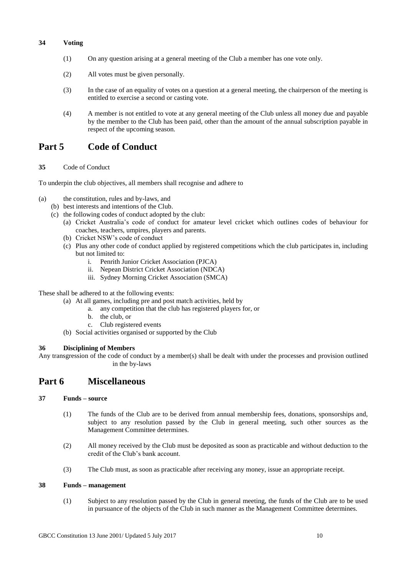## **34 Voting**

- (1) On any question arising at a general meeting of the Club a member has one vote only.
- (2) All votes must be given personally.
- (3) In the case of an equality of votes on a question at a general meeting, the chairperson of the meeting is entitled to exercise a second or casting vote.
- (4) A member is not entitled to vote at any general meeting of the Club unless all money due and payable by the member to the Club has been paid, other than the amount of the annual subscription payable in respect of the upcoming season.

## **Part 5 Code of Conduct**

**35** Code of Conduct

To underpin the club objectives, all members shall recognise and adhere to

- (a) the constitution, rules and by-laws, and
	- (b) best interests and intentions of the Club.
	- (c) the following codes of conduct adopted by the club:
		- (a) Cricket Australia's code of conduct for amateur level cricket which outlines codes of behaviour for coaches, teachers, umpires, players and parents.
		- (b) Cricket NSW's code of conduct
		- (c) Plus any other code of conduct applied by registered competitions which the club participates in, including but not limited to:
			- i. Penrith Junior Cricket Association (PJCA)
			- ii. Nepean District Cricket Association (NDCA)
			- iii. Sydney Morning Cricket Association (SMCA)

These shall be adhered to at the following events:

- (a) At all games, including pre and post match activities, held by
	- a. any competition that the club has registered players for, or
		- b. the club, or
	- c. Club registered events
- (b) Social activities organised or supported by the Club

## **36 Disciplining of Members**

Any transgression of the code of conduct by a member(s) shall be dealt with under the processes and provision outlined in the by-laws

## **Part 6 Miscellaneous**

### **37 Funds – source**

- (1) The funds of the Club are to be derived from annual membership fees, donations, sponsorships and, subject to any resolution passed by the Club in general meeting, such other sources as the Management Committee determines.
- (2) All money received by the Club must be deposited as soon as practicable and without deduction to the credit of the Club's bank account.
- (3) The Club must, as soon as practicable after receiving any money, issue an appropriate receipt.

## **38 Funds – management**

(1) Subject to any resolution passed by the Club in general meeting, the funds of the Club are to be used in pursuance of the objects of the Club in such manner as the Management Committee determines.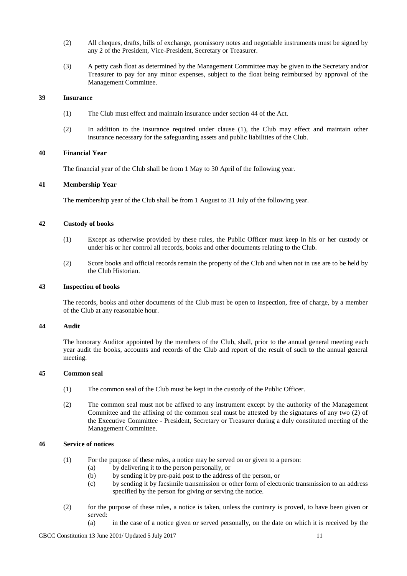- (2) All cheques, drafts, bills of exchange, promissory notes and negotiable instruments must be signed by any 2 of the President, Vice-President, Secretary or Treasurer*.*
- (3) A petty cash float as determined by the Management Committee may be given to the Secretary and/or Treasurer to pay for any minor expenses, subject to the float being reimbursed by approval of the Management Committee.

#### **39 Insurance**

- (1) The Club must effect and maintain insurance under section 44 of the Act.
- (2) In addition to the insurance required under clause (1), the Club may effect and maintain other insurance necessary for the safeguarding assets and public liabilities of the Club.

### **40 Financial Year**

The financial year of the Club shall be from 1 May to 30 April of the following year.

### **41 Membership Year**

The membership year of the Club shall be from 1 August to 31 July of the following year.

## **42 Custody of books**

- (1) Except as otherwise provided by these rules, the Public Officer must keep in his or her custody or under his or her control all records, books and other documents relating to the Club.
- (2) Score books and official records remain the property of the Club and when not in use are to be held by the Club Historian.

### **43 Inspection of books**

The records, books and other documents of the Club must be open to inspection, free of charge, by a member of the Club at any reasonable hour.

### **44 Audit**

The honorary Auditor appointed by the members of the Club, shall, prior to the annual general meeting each year audit the books, accounts and records of the Club and report of the result of such to the annual general meeting.

### **45 Common seal**

- (1) The common seal of the Club must be kept in the custody of the Public Officer.
- (2) The common seal must not be affixed to any instrument except by the authority of the Management Committee and the affixing of the common seal must be attested by the signatures of any two (2) of the Executive Committee - President, Secretary or Treasurer during a duly constituted meeting of the Management Committee.

#### **46 Service of notices**

- (1) For the purpose of these rules, a notice may be served on or given to a person:
	- (a) by delivering it to the person personally, or
	- (b) by sending it by pre-paid post to the address of the person, or
	- (c) by sending it by facsimile transmission or other form of electronic transmission to an address specified by the person for giving or serving the notice.
- (2) for the purpose of these rules, a notice is taken, unless the contrary is proved, to have been given or served:
	- (a) in the case of a notice given or served personally, on the date on which it is received by the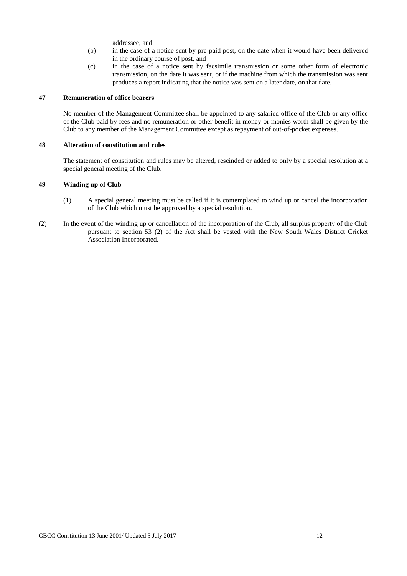addressee, and

- (b) in the case of a notice sent by pre-paid post, on the date when it would have been delivered in the ordinary course of post, and
- (c) in the case of a notice sent by facsimile transmission or some other form of electronic transmission, on the date it was sent, or if the machine from which the transmission was sent produces a report indicating that the notice was sent on a later date, on that date.

#### **47 Remuneration of office bearers**

No member of the Management Committee shall be appointed to any salaried office of the Club or any office of the Club paid by fees and no remuneration or other benefit in money or monies worth shall be given by the Club to any member of the Management Committee except as repayment of out-of-pocket expenses.

#### **48 Alteration of constitution and rules**

The statement of constitution and rules may be altered, rescinded or added to only by a special resolution at a special general meeting of the Club.

### **49 Winding up of Club**

- (1) A special general meeting must be called if it is contemplated to wind up or cancel the incorporation of the Club which must be approved by a special resolution.
- (2) In the event of the winding up or cancellation of the incorporation of the Club, all surplus property of the Club pursuant to section 53 (2) of the Act shall be vested with the New South Wales District Cricket Association Incorporated.